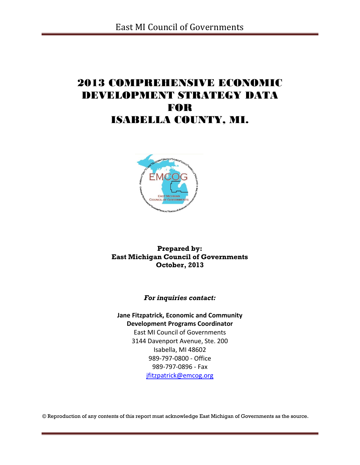# 2013 COMPREHENSIVE ECONOMIC DEVELOPMENT STRATEGY DATA FOR ISABELLA COUNTY, MI.



**Prepared by: East Michigan Council of Governments October, 2013**

*For inquiries contact:*

**Jane Fitzpatrick, Economic and Community Development Programs Coordinator** East MI Council of Governments 3144 Davenport Avenue, Ste. 200 Isabella, MI 48602 989-797-0800 - Office 989-797-0896 - Fax [jfitzpatrick@emcog.org](mailto:jfitzpatrick@emcog.org)

© Reproduction of any contents of this report must acknowledge East Michigan of Governments as the source.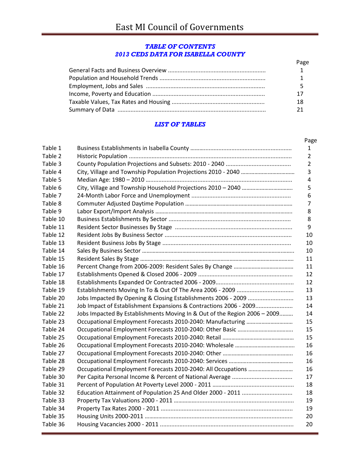#### *TABLE OF CONTENTS 2013 CEDS DATA FOR ISABELLA COUNTY*

| Page |
|------|
|      |
|      |
|      |
|      |
| 18   |
|      |

### *LIST OF TABLES*

| Table 1  |                                                                           |
|----------|---------------------------------------------------------------------------|
| Table 2  |                                                                           |
| Table 3  |                                                                           |
| Table 4  |                                                                           |
| Table 5  |                                                                           |
| Table 6  |                                                                           |
| Table 7  |                                                                           |
| Table 8  |                                                                           |
| Table 9  |                                                                           |
| Table 10 |                                                                           |
| Table 11 |                                                                           |
| Table 12 |                                                                           |
| Table 13 |                                                                           |
| Table 14 |                                                                           |
| Table 15 |                                                                           |
| Table 16 |                                                                           |
| Table 17 |                                                                           |
| Table 18 |                                                                           |
| Table 19 |                                                                           |
| Table 20 |                                                                           |
| Table 21 | Job Impact of Establishment Expansions & Contractions 2006 - 2009         |
| Table 22 | Jobs Impacted By Establishments Moving In & Out of the Region 2006 - 2009 |
| Table 23 |                                                                           |
| Table 24 |                                                                           |
| Table 25 |                                                                           |
| Table 26 |                                                                           |
| Table 27 |                                                                           |
| Table 28 |                                                                           |
| Table 29 |                                                                           |
| Table 30 |                                                                           |
| Table 31 |                                                                           |
| Table 32 |                                                                           |
| Table 33 |                                                                           |
| Table 34 |                                                                           |
| Table 35 |                                                                           |
| Table 36 |                                                                           |
|          |                                                                           |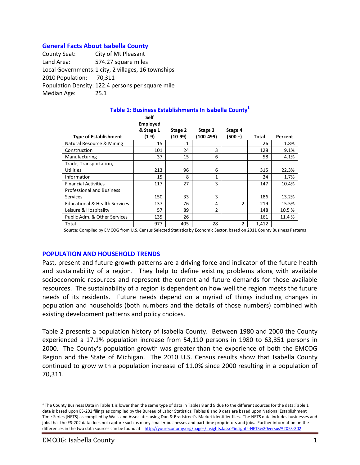### **General Facts About Isabella County**

County Seat: City of Mt Pleasant Land Area: 574.27 square miles Local Governments:1 city, 2 villages, 16 townships 2010 Population: 70,311 Population Density: 122.4 persons per square mile Median Age: 25.1

| Table 1: Business Establishments In Isabella County <sup>1</sup> |                                                      |                    |                      |                    |       |         |  |  |  |  |
|------------------------------------------------------------------|------------------------------------------------------|--------------------|----------------------|--------------------|-------|---------|--|--|--|--|
| <b>Type of Establishment</b>                                     | <b>Self</b><br><b>Employed</b><br>& Stage 1<br>(1-9) | Stage 2<br>(10-99) | Stage 3<br>(100-499) | Stage 4<br>(500 +) | Total | Percent |  |  |  |  |
| Natural Resource & Mining                                        | 15                                                   | 11                 |                      |                    | 26    | 1.8%    |  |  |  |  |
| Construction                                                     | 101                                                  | 24                 | 3                    |                    | 128   | 9.1%    |  |  |  |  |
| Manufacturing                                                    | 37                                                   | 15                 | 6                    |                    | 58    | 4.1%    |  |  |  |  |
| Trade, Transportation,                                           |                                                      |                    |                      |                    |       |         |  |  |  |  |
| <b>Utilities</b>                                                 | 213                                                  | 96                 | 6                    |                    | 315   | 22.3%   |  |  |  |  |
| Information                                                      | 15                                                   | 8                  | 1                    |                    | 24    | 1.7%    |  |  |  |  |
| <b>Financial Activities</b>                                      | 117                                                  | 27                 | 3                    |                    | 147   | 10.4%   |  |  |  |  |
| <b>Professional and Business</b>                                 |                                                      |                    |                      |                    |       |         |  |  |  |  |
| <b>Services</b>                                                  | 150                                                  | 33                 | 3                    |                    | 186   | 13.2%   |  |  |  |  |
| <b>Educational &amp; Health Services</b>                         | 137                                                  | 76                 | 4                    | $\mathfrak{p}$     | 219   | 15.5%   |  |  |  |  |
| Leisure & Hospitality                                            | 57                                                   | 89                 | $\overline{2}$       |                    | 148   | 10.5%   |  |  |  |  |
| Public Adm. & Other Services                                     | 135                                                  | 26                 |                      |                    | 161   | 11.4%   |  |  |  |  |
| Total                                                            | 977                                                  | 405                | 28                   | 2                  | 1,412 |         |  |  |  |  |

#### Source: Compiled by EMCOG from U.S. Census Selected Statistics by Economic Sector, based on 2011 County Business Patterns

#### **POPULATION AND HOUSEHOLD TRENDS**

Past, present and future growth patterns are a driving force and indicator of the future health and sustainability of a region. They help to define existing problems along with available socioeconomic resources and represent the current and future demands for those available resources. The sustainability of a region is dependent on how well the region meets the future needs of its residents. Future needs depend on a myriad of things including changes in population and households (both numbers and the details of those numbers) combined with existing development patterns and policy choices.

Table 2 presents a population history of Isabella County. Between 1980 and 2000 the County experienced a 17.1% population increase from 54,110 persons in 1980 to 63,351 persons in 2000. The County's population growth was greater than the experience of both the EMCOG Region and the State of Michigan. The 2010 U.S. Census results show that Isabella County continued to grow with a population increase of 11.0% since 2000 resulting in a population of 70,311.

 $\overline{a}$ 

<sup>&</sup>lt;sup>1</sup> The County Business Data in Table 1 is lower than the same type of data in Tables 8 and 9 due to the different sources for the data:Table 1 data is based upon ES-202 filings as compiled by the Bureau of Labor Statistics; Tables 8 and 9 data are based upon National Establishment Time-Series [NETS] as compiled by Walls and Associates using Dun & Bradstreet's Market identifier files. The NETS data includes businesses and jobs that the ES-202 data does not capture such as many smaller businesses and part time proprietors and jobs. Further information on the differences in the two data sources can be found at <http://youreconomy.org/pages/insights.lasso#insights-NETS%20versus%20ES-202>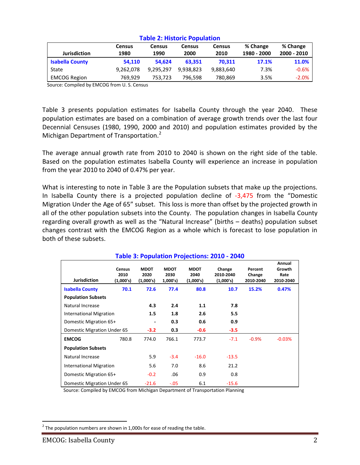|                        | <b>Census</b> | Census    | <b>Census</b> | <b>Census</b> | % Change    | % Change    |  |  |
|------------------------|---------------|-----------|---------------|---------------|-------------|-------------|--|--|
| <b>Jurisdiction</b>    | 1980          | 1990      | 2000          | 2010          | 1980 - 2000 | 2000 - 2010 |  |  |
| <b>Isabella County</b> | 54.110        | 54.624    | 63.351        | 70.311        | 17.1%       | 11.0%       |  |  |
| State                  | 9,262,078     | 9,295,297 | 9.938.823     | 9,883,640     | 7.3%        | $-0.6%$     |  |  |
| <b>EMCOG Region</b>    | 769.929       | 753,723   | 796.598       | 780,869       | 3.5%        | $-2.0%$     |  |  |

#### **Table 2: Historic Population**

Source: Compiled by EMCOG from U. S. Census

Table 3 presents population estimates for Isabella County through the year 2040. These population estimates are based on a combination of average growth trends over the last four Decennial Censuses (1980, 1990, 2000 and 2010) and population estimates provided by the Michigan Department of Transportation.<sup>2</sup>

The average annual growth rate from 2010 to 2040 is shown on the right side of the table. Based on the population estimates Isabella County will experience an increase in population from the year 2010 to 2040 of 0.47% per year.

What is interesting to note in Table 3 are the Population subsets that make up the projections. In Isabella County there is a projected population decline of -3,475 from the "Domestic Migration Under the Age of 65" subset. This loss is more than offset by the projected growth in all of the other population subsets into the County. The population changes in Isabella County regarding overall growth as well as the "Natural Increase" (births – deaths) population subset changes contrast with the EMCOG Region as a whole which is forecast to lose population in both of these subsets.

| <u> Table 3. Fupulation Frujections. 2010 - 2040</u> |                                    |                                  |                                |                                  |                                  |                                |                                       |  |
|------------------------------------------------------|------------------------------------|----------------------------------|--------------------------------|----------------------------------|----------------------------------|--------------------------------|---------------------------------------|--|
| <b>Jurisdiction</b>                                  | <b>Census</b><br>2010<br>(1,000's) | <b>MDOT</b><br>2020<br>(1,000's) | <b>MDOT</b><br>2030<br>1,000's | <b>MDOT</b><br>2040<br>(1,000's) | Change<br>2010-2040<br>(1,000's) | Percent<br>Change<br>2010-2040 | Annual<br>Growth<br>Rate<br>2010-2040 |  |
| <b>Isabella County</b>                               | 70.1                               | 72.6                             | 77.4                           | 80.8                             | 10.7                             | 15.2%                          | 0.47%                                 |  |
| <b>Population Subsets</b>                            |                                    |                                  |                                |                                  |                                  |                                |                                       |  |
| Natural Increase                                     |                                    | 4.3                              | 2.4                            | 1.1                              | 7.8                              |                                |                                       |  |
| <b>International Migration</b>                       |                                    | 1.5                              | 1.8                            | 2.6                              | 5.5                              |                                |                                       |  |
| Domestic Migration 65+                               |                                    | -                                | 0.3                            | 0.6                              | 0.9                              |                                |                                       |  |
| Domestic Migration Under 65                          |                                    | $-3.2$                           | 0.3                            | $-0.6$                           | $-3.5$                           |                                |                                       |  |
| <b>EMCOG</b>                                         | 780.8                              | 774.0                            | 766.1                          | 773.7                            | $-7.1$                           | $-0.9%$                        | $-0.03%$                              |  |
| <b>Population Subsets</b>                            |                                    |                                  |                                |                                  |                                  |                                |                                       |  |
| Natural Increase                                     |                                    | 5.9                              | $-3.4$                         | $-16.0$                          | $-13.5$                          |                                |                                       |  |
| <b>International Migration</b>                       |                                    | 5.6                              | 7.0                            | 8.6                              | 21.2                             |                                |                                       |  |
| Domestic Migration 65+                               |                                    | $-0.2$                           | .06                            | 0.9                              | 0.8                              |                                |                                       |  |
| Domestic Migration Under 65                          |                                    | $-21.6$                          | $-.05$                         | 6.1                              | $-15.6$                          |                                |                                       |  |

### **Table 3: Population Projections: 2010 - 2040**

Source: Compiled by EMCOG from Michigan Department of Transportation Planning

 $\overline{a}$ 

 $^{2}$  The population numbers are shown in 1,000s for ease of reading the table.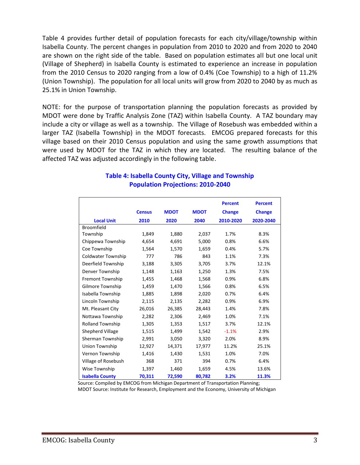Table 4 provides further detail of population forecasts for each city/village/township within Isabella County. The percent changes in population from 2010 to 2020 and from 2020 to 2040 are shown on the right side of the table. Based on population estimates all but one local unit (Village of Shepherd) in Isabella County is estimated to experience an increase in population from the 2010 Census to 2020 ranging from a low of 0.4% (Coe Township) to a high of 11.2% (Union Township). The population for all local units will grow from 2020 to 2040 by as much as 25.1% in Union Township.

NOTE: for the purpose of transportation planning the population forecasts as provided by MDOT were done by Traffic Analysis Zone (TAZ) within Isabella County. A TAZ boundary may include a city or village as well as a township. The Village of Rosebush was embedded within a larger TAZ (Isabella Township) in the MDOT forecasts. EMCOG prepared forecasts for this village based on their 2010 Census population and using the same growth assumptions that were used by MDOT for the TAZ in which they are located. The resulting balance of the affected TAZ was adjusted accordingly in the following table.

|                           |               |             |             | <b>Percent</b> | <b>Percent</b> |
|---------------------------|---------------|-------------|-------------|----------------|----------------|
|                           | <b>Census</b> | <b>MDOT</b> | <b>MDOT</b> | <b>Change</b>  | <b>Change</b>  |
| <b>Local Unit</b>         | 2010          | 2020        | 2040        | 2010-2020      | 2020-2040      |
| <b>Broomfield</b>         |               |             |             |                |                |
| Township                  | 1,849         | 1,880       | 2,037       | 1.7%           | 8.3%           |
| Chippewa Township         | 4,654         | 4,691       | 5,000       | 0.8%           | 6.6%           |
| Coe Township              | 1,564         | 1,570       | 1,659       | 0.4%           | 5.7%           |
| <b>Coldwater Township</b> | 777           | 786         | 843         | 1.1%           | 7.3%           |
| Deerfield Township        | 3,188         | 3,305       | 3,705       | 3.7%           | 12.1%          |
| Denver Township           | 1,148         | 1,163       | 1,250       | 1.3%           | 7.5%           |
| <b>Fremont Township</b>   | 1,455         | 1,468       | 1,568       | 0.9%           | 6.8%           |
| Gilmore Township          | 1,459         | 1,470       | 1,566       | 0.8%           | 6.5%           |
| Isabella Township         | 1,885         | 1,898       | 2,020       | 0.7%           | 6.4%           |
| Lincoln Township          | 2,115         | 2,135       | 2,282       | 0.9%           | 6.9%           |
| Mt. Pleasant City         | 26,016        | 26,385      | 28,443      | 1.4%           | 7.8%           |
| Nottawa Township          | 2,282         | 2,306       | 2,469       | 1.0%           | 7.1%           |
| <b>Rolland Township</b>   | 1,305         | 1,353       | 1,517       | 3.7%           | 12.1%          |
| Shepherd Village          | 1,515         | 1,499       | 1,542       | $-1.1%$        | 2.9%           |
| Sherman Township          | 2,991         | 3,050       | 3,320       | 2.0%           | 8.9%           |
| <b>Union Township</b>     | 12,927        | 14,371      | 17,977      | 11.2%          | 25.1%          |
| Vernon Township           | 1,416         | 1,430       | 1,531       | 1.0%           | 7.0%           |
| Village of Rosebush       | 368           | 371         | 394         | 0.7%           | 6.4%           |
| Wise Township             | 1,397         | 1,460       | 1,659       | 4.5%           | 13.6%          |
| <b>Isabella County</b>    | 70,311        | 72,590      | 80,782      | 3.2%           | 11.3%          |

# **Table 4: Isabella County City, Village and Township Population Projections: 2010-2040**

 Source: Compiled by EMCOG from Michigan Department of Transportation Planning; MDOT Source: Institute for Research, Employment and the Economy, University of Michigan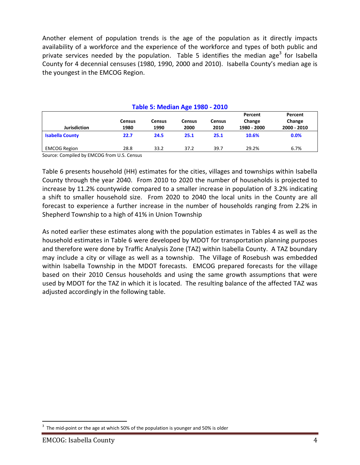Another element of population trends is the age of the population as it directly impacts availability of a workforce and the experience of the workforce and types of both public and private services needed by the population. Table 5 identifies the median age<sup>3</sup> for Isabella County for 4 decennial censuses (1980, 1990, 2000 and 2010). Isabella County's median age is the youngest in the EMCOG Region.

| <b>Table 5: Median Age 1980 - 2010</b> |                       |                       |                       |                       |                                  |                                  |  |  |
|----------------------------------------|-----------------------|-----------------------|-----------------------|-----------------------|----------------------------------|----------------------------------|--|--|
| <b>Jurisdiction</b>                    | <b>Census</b><br>1980 | <b>Census</b><br>1990 | <b>Census</b><br>2000 | <b>Census</b><br>2010 | Percent<br>Change<br>1980 - 2000 | Percent<br>Change<br>2000 - 2010 |  |  |
| <b>Isabella County</b>                 | 22.7                  | 24.5                  | 25.1                  | 25.1                  | 10.6%                            | 0.0%                             |  |  |
| <b>EMCOG Region</b>                    | 28.8                  | 33.2                  | 37.2                  | 39.7                  | 29.2%                            | 6.7%                             |  |  |

Source: Compiled by EMCOG from U.S. Census

Table 6 presents household (HH) estimates for the cities, villages and townships within Isabella County through the year 2040. From 2010 to 2020 the number of households is projected to increase by 11.2% countywide compared to a smaller increase in population of 3.2% indicating a shift to smaller household size. From 2020 to 2040 the local units in the County are all forecast to experience a further increase in the number of households ranging from 2.2% in Shepherd Township to a high of 41% in Union Township

As noted earlier these estimates along with the population estimates in Tables 4 as well as the household estimates in Table 6 were developed by MDOT for transportation planning purposes and therefore were done by Traffic Analysis Zone (TAZ) within Isabella County. A TAZ boundary may include a city or village as well as a township. The Village of Rosebush was embedded within Isabella Township in the MDOT forecasts. EMCOG prepared forecasts for the village based on their 2010 Census households and using the same growth assumptions that were used by MDOT for the TAZ in which it is located. The resulting balance of the affected TAZ was adjusted accordingly in the following table.

 $\overline{a}$ 

<sup>3</sup> The mid-point or the age at which 50% of the population is younger and 50% is older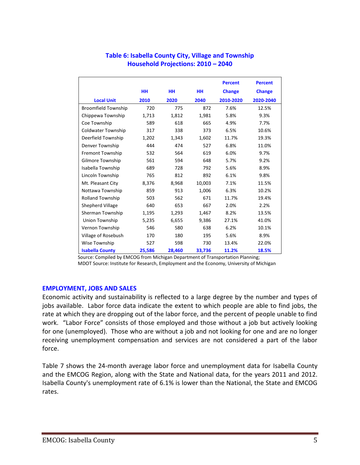|                            |           |           |        | <b>Percent</b> | <b>Percent</b> |
|----------------------------|-----------|-----------|--------|----------------|----------------|
|                            | <b>HH</b> | <b>HH</b> | HН     | <b>Change</b>  | <b>Change</b>  |
| <b>Local Unit</b>          | 2010      | 2020      | 2040   | 2010-2020      | 2020-2040      |
| <b>Broomfield Township</b> | 720       | 775       | 872    | 7.6%           | 12.5%          |
| Chippewa Township          | 1,713     | 1,812     | 1,981  | 5.8%           | 9.3%           |
| Coe Township               | 589       | 618       | 665    | 4.9%           | 7.7%           |
| <b>Coldwater Township</b>  | 317       | 338       | 373    | 6.5%           | 10.6%          |
| Deerfield Township         | 1,202     | 1,343     | 1,602  | 11.7%          | 19.3%          |
| Denver Township            | 444       | 474       | 527    | 6.8%           | 11.0%          |
| Fremont Township           | 532       | 564       | 619    | 6.0%           | 9.7%           |
| Gilmore Township           | 561       | 594       | 648    | 5.7%           | 9.2%           |
| Isabella Township          | 689       | 728       | 792    | 5.6%           | 8.9%           |
| Lincoln Township           | 765       | 812       | 892    | 6.1%           | 9.8%           |
| Mt. Pleasant City          | 8,376     | 8,968     | 10,003 | 7.1%           | 11.5%          |
| Nottawa Township           | 859       | 913       | 1,006  | 6.3%           | 10.2%          |
| <b>Rolland Township</b>    | 503       | 562       | 671    | 11.7%          | 19.4%          |
| Shepherd Village           | 640       | 653       | 667    | 2.0%           | 2.2%           |
| Sherman Township           | 1,195     | 1,293     | 1,467  | 8.2%           | 13.5%          |
| Union Township             | 5,235     | 6,655     | 9,386  | 27.1%          | 41.0%          |
| Vernon Township            | 546       | 580       | 638    | 6.2%           | 10.1%          |
| Village of Rosebush        | 170       | 180       | 195    | 5.6%           | 8.9%           |
| Wise Township              | 527       | 598       | 730    | 13.4%          | 22.0%          |
| <b>Isabella County</b>     | 25,586    | 28,460    | 33,736 | 11.2%          | 18.5%          |

# **Table 6: Isabella County City, Village and Township Household Projections: 2010 – 2040**

 Source: Compiled by EMCOG from Michigan Department of Transportation Planning; MDOT Source: Institute for Research, Employment and the Economy, University of Michigan

### **EMPLOYMENT, JOBS AND SALES**

Economic activity and sustainability is reflected to a large degree by the number and types of jobs available. Labor force data indicate the extent to which people are able to find jobs, the rate at which they are dropping out of the labor force, and the percent of people unable to find work. "Labor Force" consists of those employed and those without a job but actively looking for one (unemployed). Those who are without a job and not looking for one and are no longer receiving unemployment compensation and services are not considered a part of the labor force.

Table 7 shows the 24-month average labor force and unemployment data for Isabella County and the EMCOG Region, along with the State and National data, for the years 2011 and 2012. Isabella County's unemployment rate of 6.1% is lower than the National, the State and EMCOG rates.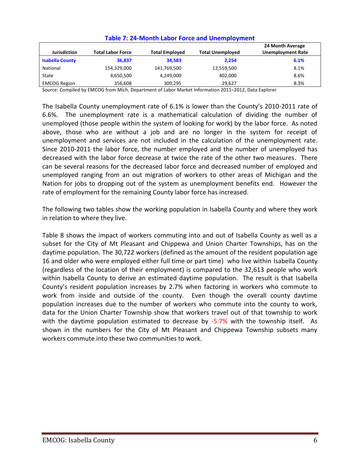| Jurisdiction           | <b>Total Labor Force</b> | <b>Total Employed</b> | <b>Total Unemployed</b> | 24 Month Average<br><b>Unemployment Rate</b> |
|------------------------|--------------------------|-----------------------|-------------------------|----------------------------------------------|
| <b>Isabella County</b> | 36,837                   | 34,583                | 2.254                   | 6.1%                                         |
| National               | 154,329,000              | 141,769,500           | 12,559,500              | 8.1%                                         |
| State                  | 4,650,500                | 4,249,000             | 402,000                 | 8.6%                                         |
| <b>EMCOG Region</b>    | 356.608                  | 309,295               | 29.627                  | 8.3%                                         |

### **Table 7: 24-Month Labor Force and Unemployment**

Source: Compiled by EMCOG from Mich. Department of Labor Market Information 2011–2012, Data Explorer

The Isabella County unemployment rate of 6.1% is lower than the County's 2010-2011 rate of 6.6%. The unemployment rate is a mathematical calculation of dividing the number of unemployed (those people within the system of looking for work) by the labor force. As noted above, those who are without a job and are no longer in the system for receipt of unemployment and services are not included in the calculation of the unemployment rate. Since 2010-2011 the labor force, the number employed and the number of unemployed has decreased with the labor force decrease at twice the rate of the other two measures. There can be several reasons for the decreased labor force and decreased number of employed and unemployed ranging from an out migration of workers to other areas of Michigan and the Nation for jobs to dropping out of the system as unemployment benefits end. However the rate of employment for the remaining County labor force has increased.

The following two tables show the working population in Isabella County and where they work in relation to where they live.

Table 8 shows the impact of workers commuting into and out of Isabella County as well as a subset for the City of Mt Pleasant and Chippewa and Union Charter Townships, has on the daytime population. The 30,722 workers (defined as the amount of the resident population age 16 and older who were employed either full time or part time) who live within Isabella County (regardless of the location of their employment) is compared to the 32,613 people who work within Isabella County to derive an estimated daytime population. The result is that Isabella County's resident population increases by 2.7% when factoring in workers who commute to work from inside and outside of the county. Even though the overall county daytime population increases due to the number of workers who commute into the county to work, data for the Union Charter Township show that workers travel out of that township to work with the daytime population estimated to decrease by -5.7% with the township itself. As shown in the numbers for the City of Mt Pleasant and Chippewa Township subsets many workers commute into these two communities to work.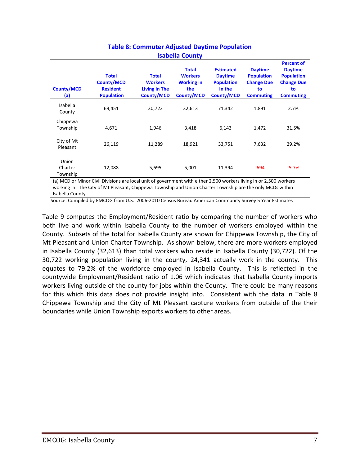| <b>Isabella County</b>       |                                                                                                                                                                                                                                  |                                                                             |                                                                                 |                                                                                        |                                                                                    |                                                                                                         |  |
|------------------------------|----------------------------------------------------------------------------------------------------------------------------------------------------------------------------------------------------------------------------------|-----------------------------------------------------------------------------|---------------------------------------------------------------------------------|----------------------------------------------------------------------------------------|------------------------------------------------------------------------------------|---------------------------------------------------------------------------------------------------------|--|
| <b>County/MCD</b><br>(a)     | <b>Total</b><br><b>County/MCD</b><br><b>Resident</b><br><b>Population</b>                                                                                                                                                        | <b>Total</b><br><b>Workers</b><br><b>Living in The</b><br><b>County/MCD</b> | <b>Total</b><br><b>Workers</b><br><b>Working in</b><br>the<br><b>County/MCD</b> | <b>Estimated</b><br><b>Daytime</b><br><b>Population</b><br>In the<br><b>County/MCD</b> | <b>Daytime</b><br><b>Population</b><br><b>Change Due</b><br>to<br><b>Commuting</b> | <b>Percent of</b><br><b>Daytime</b><br><b>Population</b><br><b>Change Due</b><br>to<br><b>Commuting</b> |  |
| Isabella<br>County           | 69,451                                                                                                                                                                                                                           | 30,722                                                                      | 32,613                                                                          | 71,342                                                                                 | 1,891                                                                              | 2.7%                                                                                                    |  |
| Chippewa<br>Township         | 4,671                                                                                                                                                                                                                            | 1,946                                                                       | 3,418                                                                           | 6,143                                                                                  | 1,472                                                                              | 31.5%                                                                                                   |  |
| City of Mt<br>Pleasant       | 26,119                                                                                                                                                                                                                           | 11,289                                                                      | 18,921                                                                          | 33,751                                                                                 | 7,632                                                                              | 29.2%                                                                                                   |  |
| Union<br>Charter<br>Township | 12,088                                                                                                                                                                                                                           | 5,695                                                                       | 5,001                                                                           | 11,394                                                                                 | $-694$                                                                             | $-5.7%$                                                                                                 |  |
| Isabella County              | (a) MCD or Minor Civil Divisions are local unit of government with either 2,500 workers living in or 2,500 workers<br>working in. The City of Mt Pleasant, Chippewa Township and Union Charter Township are the only MCDs within |                                                                             |                                                                                 |                                                                                        |                                                                                    |                                                                                                         |  |

# **Table 8: Commuter Adjusted Daytime Population Isabella County**

Source: Compiled by EMCOG from U.S. 2006-2010 Census Bureau American Community Survey 5 Year Estimates

Table 9 computes the Employment/Resident ratio by comparing the number of workers who both live and work within Isabella County to the number of workers employed within the County. Subsets of the total for Isabella County are shown for Chippewa Township, the City of Mt Pleasant and Union Charter Township. As shown below, there are more workers employed in Isabella County (32,613) than total workers who reside in Isabella County (30,722). Of the 30,722 working population living in the county, 24,341 actually work in the county. This equates to 79.2% of the workforce employed in Isabella County. This is reflected in the countywide Employment/Resident ratio of 1.06 which indicates that Isabella County imports workers living outside of the county for jobs within the County. There could be many reasons for this which this data does not provide insight into. Consistent with the data in Table 8 Chippewa Township and the City of Mt Pleasant capture workers from outside of the their boundaries while Union Township exports workers to other areas.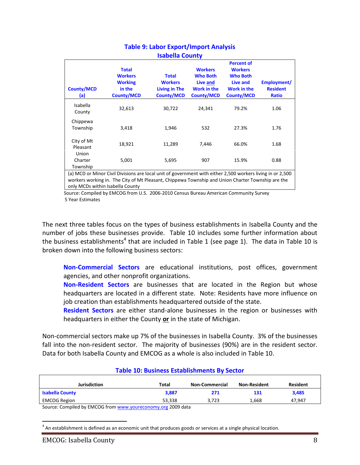| <b>Working</b>                                                                                    | <b>Total</b><br><b>Workers</b>                                    | <b>Who Both</b><br>Live and<br>Work in the<br><b>County/MCD</b> | <b>Who Both</b><br>Live and<br><b>Work in the</b><br><b>County/MCD</b> | Employment/<br><b>Resident</b><br><b>Ratio</b>                                                             |
|---------------------------------------------------------------------------------------------------|-------------------------------------------------------------------|-----------------------------------------------------------------|------------------------------------------------------------------------|------------------------------------------------------------------------------------------------------------|
|                                                                                                   | 30,722                                                            | 24,341                                                          | 79.2%                                                                  | 1.06                                                                                                       |
|                                                                                                   | 1,946                                                             | 532                                                             | 27.3%                                                                  | 1.76                                                                                                       |
|                                                                                                   | 11,289                                                            | 7,446                                                           | 66.0%                                                                  | 1.68                                                                                                       |
|                                                                                                   | 5,695                                                             | 907                                                             | 15.9%                                                                  | 0.88                                                                                                       |
| workers working in. The City of Mt Pleasant, Chippewa Township and Union Charter Township are the | in the<br><b>County/MCD</b><br>32,613<br>3,418<br>18,921<br>5,001 | <b>Living in The</b><br><b>County/MCD</b>                       |                                                                        | (a) MCD or Minor Civil Divisions are local unit of government with either 2,500 workers living in or 2,500 |

# **Table 9: Labor Export/Import Analysis Isabella County**

 Source: Compiled by EMCOG from U.S. 2006-2010 Census Bureau American Community Survey 5 Year Estimates

The next three tables focus on the types of business establishments in Isabella County and the number of jobs these businesses provide. Table 10 includes some further information about the business establishments<sup>4</sup> that are included in Table 1 (see page 1). The data in Table 10 is broken down into the following business sectors:

**Non-Commercial Sectors** are educational institutions, post offices, government agencies, and other nonprofit organizations.

**Non-Resident Sectors** are businesses that are located in the Region but whose headquarters are located in a different state. Note: Residents have more influence on job creation than establishments headquartered outside of the state.

**Resident Sectors** are either stand-alone businesses in the region or businesses with headquarters in either the County **or** in the state of Michigan.

Non-commercial sectors make up 7% of the businesses in Isabella County. 3% of the businesses fall into the non-resident sector. The majority of businesses (90%) are in the resident sector. Data for both Isabella County and EMCOG as a whole is also included in Table 10.

| <b>Table 10. Dustriess Establishments by Sector</b> |        |                       |                     |                 |  |  |  |
|-----------------------------------------------------|--------|-----------------------|---------------------|-----------------|--|--|--|
| Jurisdiction                                        | Total  | <b>Non-Commercial</b> | <b>Non-Resident</b> | <b>Resident</b> |  |  |  |
| <b>Isabella County</b>                              | 3.887  | 271                   | 131                 | 3.485           |  |  |  |
| EMCOG Region                                        | 53.338 | 3.723                 | 1.668               | 47.947          |  |  |  |
|                                                     |        |                       |                     |                 |  |  |  |

### **Table 10: Business Establishments By Sector**

Source: Compiled by EMCOG fro[m www.youreconomy.org](http://www.youreconomy.org/) 2009 data

 $\overline{a}$  $<sup>4</sup>$  An establishment is defined as an economic unit that produces goods or services at a single physical location.</sup>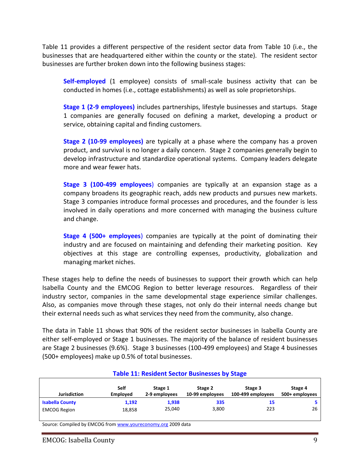Table 11 provides a different perspective of the resident sector data from Table 10 (i.e., the businesses that are headquartered either within the county or the state). The resident sector businesses are further broken down into the following business stages:

**Self-employed** (1 employee) consists of small-scale business activity that can be conducted in homes (i.e., cottage establishments) as well as sole proprietorships.

**Stage 1 (2-9 employees)** includes partnerships, lifestyle businesses and startups. Stage 1 companies are generally focused on defining a market, developing a product or service, obtaining capital and finding customers.

**Stage 2 (10-99 employees)** are typically at a phase where the company has a proven product, and survival is no longer a daily concern. Stage 2 companies generally begin to develop infrastructure and standardize operational systems. Company leaders delegate more and wear fewer hats.

**Stage 3 (100-499 employees**) companies are typically at an expansion stage as a company broadens its geographic reach, adds new products and pursues new markets. Stage 3 companies introduce formal processes and procedures, and the founder is less involved in daily operations and more concerned with managing the business culture and change.

**Stage 4 (500+ employees**) companies are typically at the point of dominating their industry and are focused on maintaining and defending their marketing position. Key objectives at this stage are controlling expenses, productivity, globalization and managing market niches.

These stages help to define the needs of businesses to support their growth which can help Isabella County and the EMCOG Region to better leverage resources. Regardless of their industry sector, companies in the same developmental stage experience similar challenges. Also, as companies move through these stages, not only do their internal needs change but their external needs such as what services they need from the community, also change.

The data in Table 11 shows that 90% of the resident sector businesses in Isabella County are either self-employed or Stage 1 businesses. The majority of the balance of resident businesses are Stage 2 businesses (9.6%). Stage 3 businesses (100-499 employees) and Stage 4 businesses (500+ employees) make up 0.5% of total businesses.

| TURIC 221 NUJIWUTIL YUULUI DUJIHUJJUU NY YLUKU |                         |                          |                            |                              |                           |
|------------------------------------------------|-------------------------|--------------------------|----------------------------|------------------------------|---------------------------|
| <b>Jurisdiction</b>                            | Self<br><b>Emploved</b> | Stage 1<br>2-9 employees | Stage 2<br>10-99 employees | Stage 3<br>100-499 employees | Stage 4<br>500+ employees |
| <b>Isabella County</b>                         | 1,192                   | 1,938                    | 335                        | 15                           |                           |
| <b>EMCOG Region</b>                            | 18,858                  | 25,040                   | 3,800                      | 223                          | 26                        |

**Table 11: Resident Sector Businesses by Stage**

Source: Compiled by EMCOG fro[m www.youreconomy.org](http://www.youreconomy.org/) 2009 data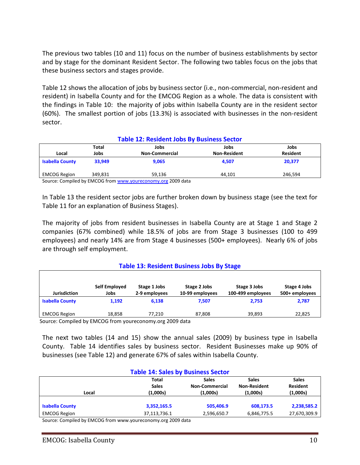The previous two tables (10 and 11) focus on the number of business establishments by sector and by stage for the dominant Resident Sector. The following two tables focus on the jobs that these business sectors and stages provide.

Table 12 shows the allocation of jobs by business sector (i.e., non-commercial, non-resident and resident) in Isabella County and for the EMCOG Region as a whole. The data is consistent with the findings in Table 10: the majority of jobs within Isabella County are in the resident sector (60%). The smallest portion of jobs (13.3%) is associated with businesses in the non-resident sector.

| <b>Table 12: Resident Jobs By Business Sector</b> |         |                       |                     |                 |  |
|---------------------------------------------------|---------|-----------------------|---------------------|-----------------|--|
|                                                   | Total   | Jobs                  | Jobs                | Jobs            |  |
| Local                                             | Jobs    | <b>Non-Commercial</b> | <b>Non-Resident</b> | <b>Resident</b> |  |
| <b>Isabella County</b>                            | 33.949  | 9,065                 | 4.507               | 20.377          |  |
| <b>EMCOG Region</b>                               | 349.831 | 59.136                | 44.101              | 246.594         |  |
|                                                   |         | ------                |                     |                 |  |

Source: Compiled by EMCOG fro[m www.youreconomy.org](http://www.youreconomy.org/) 2009 data

In Table 13 the resident sector jobs are further broken down by business stage (see the text for Table 11 for an explanation of Business Stages).

The majority of jobs from resident businesses in Isabella County are at Stage 1 and Stage 2 companies (67% combined) while 18.5% of jobs are from Stage 3 businesses (100 to 499 employees) and nearly 14% are from Stage 4 businesses (500+ employees). Nearly 6% of jobs are through self employment.

### **Table 13: Resident Business Jobs By Stage**

| Jurisdiction           | Self Employed<br>Jobs | Stage 1 Jobs<br>2-9 employees | Stage 2 Jobs<br>10-99 employees | Stage 3 Jobs<br>100-499 employees | Stage 4 Jobs<br>500+ employees |
|------------------------|-----------------------|-------------------------------|---------------------------------|-----------------------------------|--------------------------------|
| <b>Isabella County</b> | 1.192                 | 6.138                         | 7.507                           | 2.753                             | 2,787                          |
| <b>EMCOG Region</b>    | 18.858                | 77.210                        | 87,808                          | 39.893                            | 22,825                         |
| $\cdot$ .<br>$\sim$    | $-0.0000$             |                               | .                               |                                   |                                |

Source: Compiled by EMCOG from youreconomy.org 2009 data

The next two tables (14 and 15) show the annual sales (2009) by business type in Isabella County. Table 14 identifies sales by business sector. Resident Businesses make up 90% of businesses (see Table 12) and generate 67% of sales within Isabella County.

| <b>Table 14: Sales by Business Sector</b>                                       |              |              |              |              |  |  |
|---------------------------------------------------------------------------------|--------------|--------------|--------------|--------------|--|--|
|                                                                                 | <b>Total</b> | <b>Sales</b> | <b>Sales</b> | <b>Sales</b> |  |  |
| <b>Resident</b><br><b>Sales</b><br><b>Non-Resident</b><br><b>Non-Commercial</b> |              |              |              |              |  |  |
| Local                                                                           | (1,000s)     | (1,000s)     | (1,000s)     | (1,000s)     |  |  |
|                                                                                 |              |              |              |              |  |  |
| <b>Isabella County</b>                                                          | 3,352,165.5  | 505.406.9    | 608,173.5    | 2,238,585.2  |  |  |
| <b>EMCOG Region</b>                                                             | 37,113,736.1 | 2,596,650.7  | 6,846,775.5  | 27,670,309.9 |  |  |
| -------                                                                         | ------       |              |              |              |  |  |

Source: Compiled by EMCOG from www.youreconomy.org 2009 data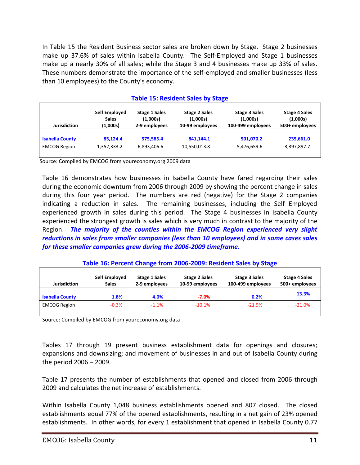In Table 15 the Resident Business sector sales are broken down by Stage. Stage 2 businesses make up 37.6% of sales within Isabella County. The Self-Employed and Stage 1 businesses make up a nearly 30% of all sales; while the Stage 3 and 4 businesses make up 33% of sales. These numbers demonstrate the importance of the self-employed and smaller businesses (less than 10 employees) to the County's economy.

|                                                                                                                                                                                                                                       | Table 15: Resident Sales by Stage |             |              |             |                                                    |  |
|---------------------------------------------------------------------------------------------------------------------------------------------------------------------------------------------------------------------------------------|-----------------------------------|-------------|--------------|-------------|----------------------------------------------------|--|
| Self Employed<br><b>Stage 1 Sales</b><br><b>Stage 2 Sales</b><br><b>Stage 3 Sales</b><br>(1,000s)<br>(1,000s)<br>(1,000s)<br><b>Sales</b><br>(1,000s)<br><b>Jurisdiction</b><br>2-9 employees<br>10-99 employees<br>100-499 employees |                                   |             |              |             | <b>Stage 4 Sales</b><br>(1,000s)<br>500+ employees |  |
| <b>Isabella County</b>                                                                                                                                                                                                                | 85.124.4                          | 575,585.4   | 841.144.1    | 501,070.2   | 235,661.0                                          |  |
| <b>EMCOG Region</b>                                                                                                                                                                                                                   | 1,352,333.2                       | 6,893,406.6 | 10,550,013.8 | 5,476,659.6 | 3,397,897.7                                        |  |

### **Table 15: Resident Sales by Stage**

Source: Compiled by EMCOG from youreconomy.org 2009 data

Table 16 demonstrates how businesses in Isabella County have fared regarding their sales during the economic downturn from 2006 through 2009 by showing the percent change in sales during this four year period. The numbers are red (negative) for the Stage 2 companies indicating a reduction in sales. The remaining businesses, including the Self Employed experienced growth in sales during this period. The Stage 4 businesses in Isabella County experienced the strongest growth is sales which is very much in contrast to the majority of the Region. *The majority of the counties within the EMCOG Region experienced very slight reductions in sales from smaller companies (less than 10 employees) and in some cases sales for these smaller companies grew during the 2006-2009 timeframe.*

### **Table 16: Percent Change from 2006-2009: Resident Sales by Stage**

| Jurisdiction           | Self Employed<br><b>Sales</b> | <b>Stage 1 Sales</b><br>2-9 employees | <b>Stage 2 Sales</b><br>10-99 employees | Stage 3 Sales<br>100-499 employees | <b>Stage 4 Sales</b><br>500+ employees |
|------------------------|-------------------------------|---------------------------------------|-----------------------------------------|------------------------------------|----------------------------------------|
| <b>Isabella County</b> | 1.8%                          | 4.0%                                  | $-7.0\%$                                | 0.2%                               | 13.3%                                  |
| <b>EMCOG Region</b>    | $-0.3\%$                      | $-1.1\%$                              | $-10.1%$                                | $-21.9%$                           | $-21.0%$                               |

Source: Compiled by EMCOG from youreconomy.org data

Tables 17 through 19 present business establishment data for openings and closures; expansions and downsizing; and movement of businesses in and out of Isabella County during the period 2006 – 2009.

Table 17 presents the number of establishments that opened and closed from 2006 through 2009 and calculates the net increase of establishments.

Within Isabella County 1,048 business establishments opened and 807 closed. The closed establishments equal 77% of the opened establishments, resulting in a net gain of 23% opened establishments. In other words, for every 1 establishment that opened in Isabella County 0.77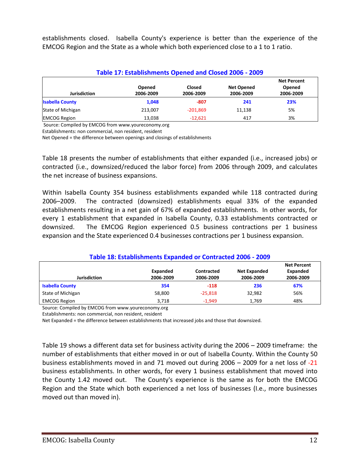establishments closed. Isabella County's experience is better than the experience of the EMCOG Region and the State as a whole which both experienced close to a 1 to 1 ratio.

| Table 17: Establishments Opened and Closed 2006 - 2009 |                     |                     |                                |                                           |  |
|--------------------------------------------------------|---------------------|---------------------|--------------------------------|-------------------------------------------|--|
| <b>Jurisdiction</b>                                    | Opened<br>2006-2009 | Closed<br>2006-2009 | <b>Net Opened</b><br>2006-2009 | <b>Net Percent</b><br>Opened<br>2006-2009 |  |
| <b>Isabella County</b>                                 | 1,048               | $-807$              | 241                            | 23%                                       |  |
| State of Michigan                                      | 213.007             | $-201.869$          | 11,138                         | 5%                                        |  |
| <b>EMCOG Region</b>                                    | 13,038              | $-12,621$           | 417                            | 3%                                        |  |

Source: Compiled by EMCOG from www.youreconomy.org

Establishments: non commercial, non resident, resident

Net Opened = the difference between openings and closings of establishments

Table 18 presents the number of establishments that either expanded (i.e., increased jobs) or contracted (i.e., downsized/reduced the labor force) from 2006 through 2009, and calculates the net increase of business expansions.

Within Isabella County 354 business establishments expanded while 118 contracted during 2006–2009. The contracted (downsized) establishments equal 33% of the expanded establishments resulting in a net gain of 67% of expanded establishments. In other words, for every 1 establishment that expanded in Isabella County, 0.33 establishments contracted or downsized. The EMCOG Region experienced 0.5 business contractions per 1 business expansion and the State experienced 0.4 businesses contractions per 1 business expansion.

### **Table 18: Establishments Expanded or Contracted 2006 - 2009**

|                        |           |            |                     | <b>Net Percent</b> |
|------------------------|-----------|------------|---------------------|--------------------|
|                        | Expanded  | Contracted | <b>Net Expanded</b> | Expanded           |
| <b>Jurisdiction</b>    | 2006-2009 | 2006-2009  | 2006-2009           | 2006-2009          |
| <b>Isabella County</b> | 354       | $-118$     | 236                 | 67%                |
| State of Michigan      | 58,800    | $-25.818$  | 32.982              | 56%                |
| <b>EMCOG Region</b>    | 3.718     | $-1.949$   | 1.769               | 48%                |

Source: Compiled by EMCOG from www.youreconomy.org

Establishments: non commercial, non resident, resident

Net Expanded = the difference between establishments that increased jobs and those that downsized.

Table 19 shows a different data set for business activity during the 2006 – 2009 timeframe: the number of establishments that either moved in or out of Isabella County. Within the County 50 business establishments moved in and 71 moved out during 2006 – 2009 for a net loss of -21 business establishments. In other words, for every 1 business establishment that moved into the County 1.42 moved out. The County's experience is the same as for both the EMCOG Region and the State which both experienced a net loss of businesses (I.e., more businesses moved out than moved in).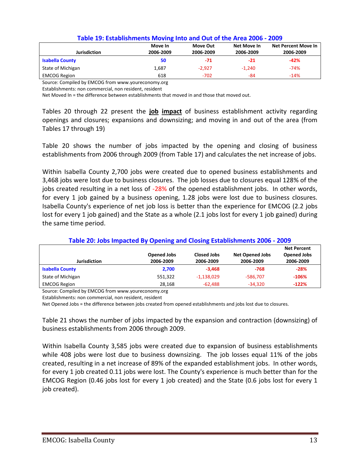| <b>Jurisdiction</b>    | Move In<br>2006-2009 | Move Out<br>2006-2009 | Net Move In<br>2006-2009 | Net Percent Move In<br>2006-2009 |
|------------------------|----------------------|-----------------------|--------------------------|----------------------------------|
| <b>Isabella County</b> | 50                   | -71                   | $-21$                    | $-42%$                           |
| State of Michigan      | 1,687                | $-2,927$              | $-1.240$                 | $-74%$                           |
| <b>EMCOG Region</b>    | 618                  | $-702$                | -84                      | $-14%$                           |

### **Table 19: Establishments Moving Into and Out of the Area 2006 - 2009**

Source: Compiled by EMCOG from www.youreconomy.org

Establishments: non commercial, non resident, resident

Net Moved In = the difference between establishments that moved in and those that moved out.

Tables 20 through 22 present the **job impact** of business establishment activity regarding openings and closures; expansions and downsizing; and moving in and out of the area (from Tables 17 through 19)

Table 20 shows the number of jobs impacted by the opening and closing of business establishments from 2006 through 2009 (from Table 17) and calculates the net increase of jobs.

Within Isabella County 2,700 jobs were created due to opened business establishments and 3,468 jobs were lost due to business closures. The job losses due to closures equal 128% of the jobs created resulting in a net loss of -28% of the opened establishment jobs. In other words, for every 1 job gained by a business opening, 1.28 jobs were lost due to business closures. Isabella County's experience of net job loss is better than the experience for EMCOG (2.2 jobs lost for every 1 job gained) and the State as a whole (2.1 jobs lost for every 1 job gained) during the same time period.

| <b>Jurisdiction</b>    | <b>Opened Jobs</b><br>2006-2009 | <b>Closed Jobs</b><br>2006-2009 | <b>Net Opened Jobs</b><br>2006-2009 | <b>Net Percent</b><br><b>Opened Jobs</b><br>2006-2009 |
|------------------------|---------------------------------|---------------------------------|-------------------------------------|-------------------------------------------------------|
| <b>Isabella County</b> | 2,700                           | $-3.468$                        | -768                                | $-28%$                                                |
| State of Michigan      | 551,322                         | $-1,138,029$                    | -586,707                            | $-106%$                                               |
| <b>EMCOG Region</b>    | 28,168                          | $-62,488$                       | $-34,320$                           | $-122%$                                               |

#### **Table 20: Jobs Impacted By Opening and Closing Establishments 2006 - 2009**

Source: Compiled by EMCOG from www.youreconomy.org

Net Opened Jobs = the difference between jobs created from opened establishments and jobs lost due to closures.

Table 21 shows the number of jobs impacted by the expansion and contraction (downsizing) of business establishments from 2006 through 2009.

Within Isabella County 3,585 jobs were created due to expansion of business establishments while 408 jobs were lost due to business downsizing. The job losses equal 11% of the jobs created, resulting in a net increase of 89% of the expanded establishment jobs. In other words, for every 1 job created 0.11 jobs were lost. The County's experience is much better than for the EMCOG Region (0.46 jobs lost for every 1 job created) and the State (0.6 jobs lost for every 1 job created).

Establishments: non commercial, non resident, resident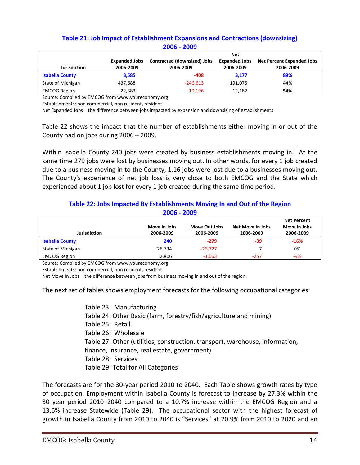# **Table 21: Job Impact of Establishment Expansions and Contractions (downsizing) 2006 - 2009**

|                        |                      | <b>Net</b>                  |                      |                                  |  |  |
|------------------------|----------------------|-----------------------------|----------------------|----------------------------------|--|--|
|                        | <b>Expanded Jobs</b> | Contracted (downsized) Jobs | <b>Expanded Jobs</b> | <b>Net Percent Expanded Jobs</b> |  |  |
| <b>Jurisdiction</b>    | 2006-2009            | 2006-2009                   | 2006-2009            | 2006-2009                        |  |  |
| <b>Isabella County</b> | 3,585                | -408                        | 3.177                | 89%                              |  |  |
| State of Michigan      | 437.688              | $-246.613$                  | 191,075              | 44%                              |  |  |
| <b>EMCOG Region</b>    | 22.383               | $-10.196$                   | 12.187               | 54%                              |  |  |

Source: Compiled by EMCOG from www.youreconomy.org

Establishments: non commercial, non resident, resident

Net Expanded Jobs = the difference between jobs impacted by expansion and downsizing of establishments

Table 22 shows the impact that the number of establishments either moving in or out of the County had on jobs during 2006 – 2009.

Within Isabella County 240 jobs were created by business establishments moving in. At the same time 279 jobs were lost by businesses moving out. In other words, for every 1 job created due to a business moving in to the County, 1.16 jobs were lost due to a businesses moving out. The County's experience of net job loss is very close to both EMCOG and the State which experienced about 1 job lost for every 1 job created during the same time period.

### **Table 22: Jobs Impacted By Establishments Moving In and Out of the Region 2006 - 2009**

|                        |              |               |                  | <b>Net Percent</b> |
|------------------------|--------------|---------------|------------------|--------------------|
|                        | Move In Jobs | Move Out Jobs | Net Move In Jobs | Move In Jobs       |
| Jurisdiction           | 2006-2009    | 2006-2009     | 2006-2009        | 2006-2009          |
| <b>Isabella County</b> | 240          | $-279$        | -39              | $-16%$             |
| State of Michigan      | 26,734       | $-26.727$     |                  | 0%                 |
| <b>EMCOG Region</b>    | 2,806        | $-3,063$      | $-257$           | -9%                |

Source: Compiled by EMCOG from www.youreconomy.org

Establishments: non commercial, non resident, resident

Net Move In Jobs = the difference between jobs from business moving in and out of the region.

The next set of tables shows employment forecasts for the following occupational categories:

Table 23: Manufacturing Table 24: Other Basic (farm, forestry/fish/agriculture and mining) Table 25: Retail Table 26: Wholesale Table 27: Other (utilities, construction, transport, warehouse, information, finance, insurance, real estate, government) Table 28: Services Table 29: Total for All Categories

The forecasts are for the 30-year period 2010 to 2040. Each Table shows growth rates by type of occupation. Employment within Isabella County is forecast to increase by 27.3% within the 30 year period 2010–2040 compared to a 10.7% increase within the EMCOG Region and a 13.6% increase Statewide (Table 29). The occupational sector with the highest forecast of growth in Isabella County from 2010 to 2040 is "Services" at 20.9% from 2010 to 2020 and an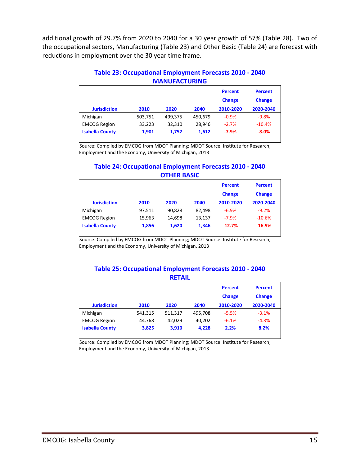additional growth of 29.7% from 2020 to 2040 for a 30 year growth of 57% (Table 28). Two of the occupational sectors, Manufacturing (Table 23) and Other Basic (Table 24) are forecast with reductions in employment over the 30 year time frame.

| <b>MANUFACIURING</b>   |         |         |         |                |                |  |  |
|------------------------|---------|---------|---------|----------------|----------------|--|--|
|                        |         |         |         | <b>Percent</b> | <b>Percent</b> |  |  |
|                        |         |         |         | <b>Change</b>  | <b>Change</b>  |  |  |
| <b>Jurisdiction</b>    | 2010    | 2020    | 2040    | 2010-2020      | 2020-2040      |  |  |
| Michigan               | 503,751 | 499,375 | 450,679 | $-0.9%$        | $-9.8%$        |  |  |
| <b>EMCOG Region</b>    | 33,223  | 32,310  | 28.946  | $-2.7%$        | $-10.4%$       |  |  |
| <b>Isabella County</b> | 1,901   | 1,752   | 1,612   | $-7.9%$        | $-8.0%$        |  |  |
|                        |         |         |         |                |                |  |  |

# **Table 23: Occupational Employment Forecasts 2010 - 2040 MANUFACTURING**

Source: Compiled by EMCOG from MDOT Planning; MDOT Source: Institute for Research, Employment and the Economy, University of Michigan, 2013

# **Table 24: Occupational Employment Forecasts 2010 - 2040 OTHER BASIC**

|                        |        |        |        | <b>Percent</b> | <b>Percent</b> |
|------------------------|--------|--------|--------|----------------|----------------|
|                        |        |        |        | <b>Change</b>  | <b>Change</b>  |
| <b>Jurisdiction</b>    | 2010   | 2020   | 2040   | 2010-2020      | 2020-2040      |
| Michigan               | 97,511 | 90.828 | 82,498 | $-6.9%$        | $-9.2%$        |
| <b>EMCOG Region</b>    | 15,963 | 14.698 | 13.137 | $-7.9%$        | $-10.6%$       |
| <b>Isabella County</b> | 1,856  | 1,620  | 1,346  | $-12.7%$       | $-16.9%$       |

Source: Compiled by EMCOG from MDOT Planning; MDOT Source: Institute for Research, Employment and the Economy, University of Michigan, 2013

#### **Table 25: Occupational Employment Forecasts 2010 - 2040 RETAIL**

|                        |         |         |         | <b>Percent</b><br><b>Change</b> | <b>Percent</b><br><b>Change</b> |
|------------------------|---------|---------|---------|---------------------------------|---------------------------------|
| <b>Jurisdiction</b>    | 2010    | 2020    | 2040    | 2010-2020                       | 2020-2040                       |
| Michigan               | 541,315 | 511,317 | 495.708 | $-5.5%$                         | $-3.1%$                         |
| <b>EMCOG Region</b>    | 44.768  | 42.029  | 40,202  | $-6.1%$                         | $-4.3%$                         |
| <b>Isabella County</b> | 3,825   | 3.910   | 4,228   | 2.2%                            | 8.2%                            |

Source: Compiled by EMCOG from MDOT Planning; MDOT Source: Institute for Research, Employment and the Economy, University of Michigan, 2013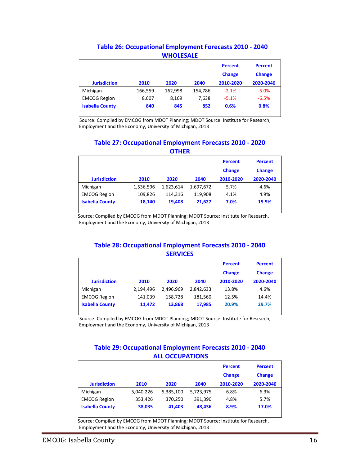### **Table 26: Occupational Employment Forecasts 2010 - 2040 WHOLESALE**

|                        |         |         |         | <b>Percent</b><br><b>Change</b> | <b>Percent</b><br><b>Change</b> |
|------------------------|---------|---------|---------|---------------------------------|---------------------------------|
| <b>Jurisdiction</b>    | 2010    | 2020    | 2040    | 2010-2020                       | 2020-2040                       |
| Michigan               | 166,559 | 162,998 | 154,786 | $-2.1%$                         | $-5.0%$                         |
| <b>EMCOG Region</b>    | 8,607   | 8,169   | 7,638   | $-5.1%$                         | $-6.5%$                         |
| <b>Isabella County</b> | 840     | 845     | 852     | 0.6%                            | 0.8%                            |

Source: Compiled by EMCOG from MDOT Planning; MDOT Source: Institute for Research, Employment and the Economy, University of Michigan, 2013

### **Table 27: Occupational Employment Forecasts 2010 - 2020 OTHER**

|                        |           |           |           | <b>Percent</b><br><b>Change</b> | <b>Percent</b><br><b>Change</b> |
|------------------------|-----------|-----------|-----------|---------------------------------|---------------------------------|
| <b>Jurisdiction</b>    | 2010      | 2020      | 2040      | 2010-2020                       | 2020-2040                       |
| Michigan               | 1,536,596 | 1,623,614 | 1,697,672 | 5.7%                            | 4.6%                            |
| <b>EMCOG Region</b>    | 109.826   | 114,316   | 119.908   | 4.1%                            | 4.9%                            |
| <b>Isabella County</b> | 18,140    | 19,408    | 21.627    | 7.0%                            | 15.5%                           |

Source: Compiled by EMCOG from MDOT Planning; MDOT Source: Institute for Research, Employment and the Economy, University of Michigan, 2013

# **Table 28: Occupational Employment Forecasts 2010 - 2040 SERVICES**

|                        |           |           |           | <b>Percent</b><br><b>Change</b> | <b>Percent</b><br><b>Change</b> |
|------------------------|-----------|-----------|-----------|---------------------------------|---------------------------------|
| <b>Jurisdiction</b>    | 2010      | 2020      | 2040      | 2010-2020                       | 2020-2040                       |
| Michigan               | 2,194,496 | 2,496,969 | 2,842,633 | 13.8%                           | 4.6%                            |
| <b>EMCOG Region</b>    | 141,039   | 158,728   | 181,560   | 12.5%                           | 14.4%                           |
| <b>Isabella County</b> | 11.472    | 13,868    | 17,985    | 20.9%                           | 29.7%                           |

Source: Compiled by EMCOG from MDOT Planning; MDOT Source: Institute for Research, Employment and the Economy, University of Michigan, 2013

### **Table 29: Occupational Employment Forecasts 2010 - 2040 ALL OCCUPATIONS**

|                        |           |           |           | <b>Percent</b><br><b>Change</b> | <b>Percent</b><br><b>Change</b> |
|------------------------|-----------|-----------|-----------|---------------------------------|---------------------------------|
| <b>Jurisdiction</b>    | 2010      | 2020      | 2040      | 2010-2020                       | 2020-2040                       |
| Michigan               | 5,040,226 | 5,385,100 | 5,723,975 | 6.8%                            | 6.3%                            |
| <b>EMCOG Region</b>    | 353,426   | 370.250   | 391,390   | 4.8%                            | 5.7%                            |
| <b>Isabella County</b> | 38,035    | 41.403    | 48.436    | 8.9%                            | 17.0%                           |

 Source: Compiled by EMCOG from MDOT Planning; MDOT Source: Institute for Research, Employment and the Economy, University of Michigan, 2013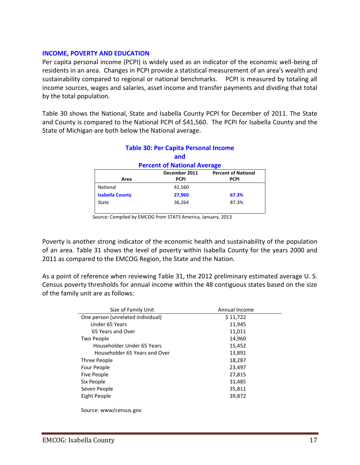### **INCOME, POVERTY AND EDUCATION**

Per capita personal income (PCPI) is widely used as an indicator of the economic well-being of residents in an area. Changes in PCPI provide a statistical measurement of an area's wealth and sustainability compared to regional or national benchmarks. PCPI is measured by totaling all income sources, wages and salaries, asset income and transfer payments and dividing that total by the total population.

Table 30 shows the National, State and Isabella County PCPI for December of 2011. The State and County is compared to the National PCPI of \$41,560. The PCPI for Isabella County and the State of Michigan are both below the National average.

**Table 30: Per Capita Personal Income**

|                                             | Table SV: Per Capita Personal Income |             |  |  |  |  |
|---------------------------------------------|--------------------------------------|-------------|--|--|--|--|
|                                             | and                                  |             |  |  |  |  |
| <b>Percent of National Average</b>          |                                      |             |  |  |  |  |
| <b>Percent of National</b><br>December 2011 |                                      |             |  |  |  |  |
| Area                                        | <b>PCPI</b>                          | <b>PCPI</b> |  |  |  |  |
| National                                    | 41,560                               |             |  |  |  |  |
| <b>Isabella County</b>                      | 27,960                               | 67.3%       |  |  |  |  |
| State                                       | 36,264                               | 87.3%       |  |  |  |  |
|                                             |                                      |             |  |  |  |  |

Source: Compiled by EMCOG from STATS America, January, 2013

Poverty is another strong indicator of the economic health and sustainability of the population of an area. Table 31 shows the level of poverty within Isabella County for the years 2000 and 2011 as compared to the EMCOG Region, the State and the Nation.

As a point of reference when reviewing Table 31, the 2012 preliminary estimated average U. S. Census poverty thresholds for annual income within the 48 contiguous states based on the size of the family unit are as follows:

| Size of Family Unit               | Annual Income |
|-----------------------------------|---------------|
| One person (unrelated individual) | \$11,722      |
| Under 65 Years                    | 11,945        |
| 65 Years and Over                 | 11,011        |
| Two People                        | 14,960        |
| Householder Under 65 Years        | 15,452        |
| Householder 65 Years and Over     | 13,891        |
| Three People                      | 18,287        |
| Four People                       | 23,497        |
| Five People                       | 27,815        |
| Six People                        | 31,485        |
| Seven People                      | 35,811        |
| Eight People                      | 39,872        |
|                                   |               |

Source: www/census.gov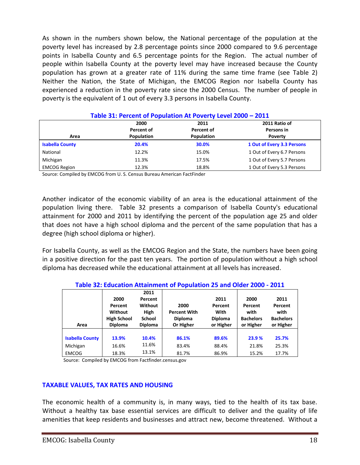As shown in the numbers shown below, the National percentage of the population at the poverty level has increased by 2.8 percentage points since 2000 compared to 9.6 percentage points in Isabella County and 6.5 percentage points for the Region. The actual number of people within Isabella County at the poverty level may have increased because the County population has grown at a greater rate of 11% during the same time frame (see Table 2) Neither the Nation, the State of Michigan, the EMCOG Region nor Isabella County has experienced a reduction in the poverty rate since the 2000 Census. The number of people in poverty is the equivalent of 1 out of every 3.3 persons in Isabella County.

| <u> Table 51. Feltent bi Fobulation At Fovel ty Level 2000 – 2011</u> |            |            |                            |  |  |  |
|-----------------------------------------------------------------------|------------|------------|----------------------------|--|--|--|
|                                                                       | 2000       | 2011       | 2011 Ratio of              |  |  |  |
|                                                                       | Percent of | Percent of | Persons in                 |  |  |  |
| Area                                                                  | Population | Population | <b>Poverty</b>             |  |  |  |
| <b>Isabella County</b>                                                | 20.4%      | 30.0%      | 1 Out of Every 3.3 Persons |  |  |  |
| National                                                              | 12.2%      | 15.0%      | 1 Out of Every 6.7 Persons |  |  |  |
| Michigan                                                              | 11.3%      | 17.5%      | 1 Out of Every 5.7 Persons |  |  |  |
| <b>EMCOG Region</b>                                                   | 12.3%      | 18.8%      | 1 Out of Every 5.3 Persons |  |  |  |

#### **Table 31: Percent of Population At Poverty Level 2000 – 2011**

Source: Compiled by EMCOG from U. S. Census Bureau American FactFinder

Another indicator of the economic viability of an area is the educational attainment of the population living there. Table 32 presents a comparison of Isabella County's educational attainment for 2000 and 2011 by identifying the percent of the population age 25 and older that does not have a high school diploma and the percent of the same population that has a degree (high school diploma or higher).

For Isabella County, as well as the EMCOG Region and the State, the numbers have been going in a positive direction for the past ten years. The portion of population without a high school diploma has decreased while the educational attainment at all levels has increased.

|                        |                    |                | Table 52. Education Attainment of Population 25 and Older 2000 - 2011 |                |                  |                  |
|------------------------|--------------------|----------------|-----------------------------------------------------------------------|----------------|------------------|------------------|
|                        |                    | 2011           |                                                                       |                |                  |                  |
|                        | 2000               | Percent        |                                                                       | 2011           | 2000             | 2011             |
|                        | Percent            | Without        | 2000                                                                  | Percent        | Percent          | Percent          |
|                        | Without            | <b>High</b>    | <b>Percent With</b>                                                   | With           | with             | with             |
|                        | <b>High School</b> | <b>School</b>  | <b>Diploma</b>                                                        | <b>Diploma</b> | <b>Bachelors</b> | <b>Bachelors</b> |
|                        |                    |                |                                                                       |                |                  |                  |
| Area                   | <b>Diploma</b>     | <b>Diploma</b> | Or Higher                                                             | or Higher      | or Higher        | or Higher        |
|                        |                    |                |                                                                       |                |                  |                  |
| <b>Isabella County</b> | 13.9%              | 10.4%          | 86.1%                                                                 | 89.6%          | 23.9 %           | 25.7%            |
| Michigan               | 16.6%              | 11.6%          | 83.4%                                                                 | 88.4%          | 21.8%            | 25.3%            |

**Table 32: Education Attainment of Population 25 and Older 2000 - 2011**

Source: Compiled by EMCOG from Factfinder.census.gov

### **TAXABLE VALUES, TAX RATES AND HOUSING**

The economic health of a community is, in many ways, tied to the health of its tax base. Without a healthy tax base essential services are difficult to deliver and the quality of life amenities that keep residents and businesses and attract new, become threatened. Without a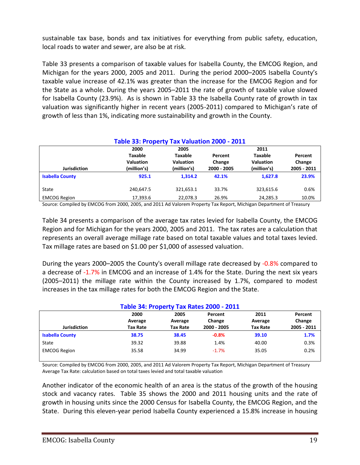sustainable tax base, bonds and tax initiatives for everything from public safety, education, local roads to water and sewer, are also be at risk.

Table 33 presents a comparison of taxable values for Isabella County, the EMCOG Region, and Michigan for the years 2000, 2005 and 2011. During the period 2000–2005 Isabella County's taxable value increase of 42.1% was greater than the increase for the EMCOG Region and for the State as a whole. During the years 2005–2011 the rate of growth of taxable value slowed for Isabella County (23.9%). As is shown in Table 33 the Isabella County rate of growth in tax valuation was significantly higher in recent years (2005-2011) compared to Michigan's rate of growth of less than 1%, indicating more sustainability and growth in the County.

| Table 33: Property Tax Valuation 2000 - 2011 |                                                           |                                                           |                                  |                                                           |                                  |  |
|----------------------------------------------|-----------------------------------------------------------|-----------------------------------------------------------|----------------------------------|-----------------------------------------------------------|----------------------------------|--|
| <b>Jurisdiction</b>                          | 2000<br><b>Taxable</b><br><b>Valuation</b><br>(million's) | 2005<br><b>Taxable</b><br><b>Valuation</b><br>(million's) | Percent<br>Change<br>2000 - 2005 | 2011<br><b>Taxable</b><br><b>Valuation</b><br>(million's) | Percent<br>Change<br>2005 - 2011 |  |
| <b>Isabella County</b>                       | 925.1                                                     | 1.314.2                                                   | 42.1%                            | 1.627.8                                                   | 23.9%                            |  |
| State                                        | 240.647.5                                                 | 321,653.1                                                 | 33.7%                            | 323,615.6                                                 | 0.6%                             |  |
| <b>EMCOG Region</b>                          | 17,393.6                                                  | 22,078.3                                                  | 26.9%                            | 24,285.3                                                  | 10.0%                            |  |

Source: Compiled by EMCOG from 2000, 2005, and 2011 Ad Valorem Property Tax Report, Michigan Department of Treasury

Table 34 presents a comparison of the average tax rates levied for Isabella County, the EMCOG Region and for Michigan for the years 2000, 2005 and 2011. The tax rates are a calculation that represents an overall average millage rate based on total taxable values and total taxes levied. Tax millage rates are based on \$1.00 per \$1,000 of assessed valuation.

During the years 2000–2005 the County's overall millage rate decreased by -0.8% compared to a decrease of -1.7% in EMCOG and an increase of 1.4% for the State. During the next six years (2005–2011) the millage rate within the County increased by 1.7%, compared to modest increases in the tax millage rates for both the EMCOG Region and the State.

| Table 34: Property Tax Rates 2000 - 2011 |                 |                 |             |                 |             |  |  |  |
|------------------------------------------|-----------------|-----------------|-------------|-----------------|-------------|--|--|--|
|                                          | 2000            | 2005            | Percent     | 2011            | Percent     |  |  |  |
|                                          | Average         | Average         | Change      | Average         | Change      |  |  |  |
| <b>Jurisdiction</b>                      | <b>Tax Rate</b> | <b>Tax Rate</b> | 2000 - 2005 | <b>Tax Rate</b> | 2005 - 2011 |  |  |  |
| <b>Isabella County</b>                   | 38.75           | 38.45           | $-0.8%$     | 39.10           | 1.7%        |  |  |  |
| State                                    | 39.32           | 39.88           | 1.4%        | 40.00           | 0.3%        |  |  |  |
| <b>EMCOG Region</b>                      | 35.58           | 34.99           | $-1.7%$     | 35.05           | 0.2%        |  |  |  |

### **Table 34: Property Tax Rates 2000 - 2011**

Source: Compiled by EMCOG from 2000, 2005, and 2011 Ad Valorem Property Tax Report, Michigan Department of Treasury Average Tax Rate: calculation based on total taxes levied and total taxable valuation

Another indicator of the economic health of an area is the status of the growth of the housing stock and vacancy rates. Table 35 shows the 2000 and 2011 housing units and the rate of growth in housing units since the 2000 Census for Isabella County, the EMCOG Region, and the State. During this eleven-year period Isabella County experienced a 15.8% increase in housing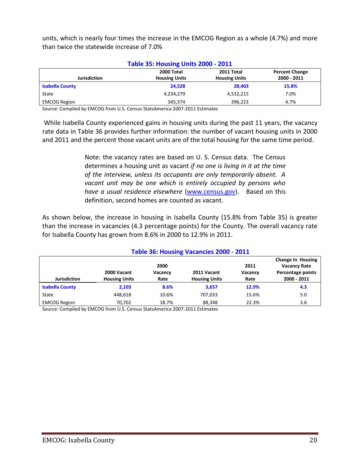units, which is nearly four times the increase in the EMCOG Region as a whole (4.7%) and more than twice the statewide increase of 7.0%

| <b>Table 35: Housing Units 2000 - 2011</b> |                                    |                                    |                                      |  |  |  |  |
|--------------------------------------------|------------------------------------|------------------------------------|--------------------------------------|--|--|--|--|
| <b>Jurisdiction</b>                        | 2000 Total<br><b>Housing Units</b> | 2011 Total<br><b>Housing Units</b> | <b>Percent Change</b><br>2000 - 2011 |  |  |  |  |
| <b>Isabella County</b>                     | 24.528                             | 28.403                             | 15.8%                                |  |  |  |  |
| State                                      | 4,234,279                          | 4,532,215                          | 7.0%                                 |  |  |  |  |
| <b>EMCOG Region</b>                        | 345.374                            | 396.223                            | 4.7%                                 |  |  |  |  |

Source: Compiled by EMCOG from U.S. Census StatsAmerica 2007-2011 Estimates

While Isabella County experienced gains in housing units during the past 11 years, the vacancy rate data in Table 36 provides further information: the number of vacant housing units in 2000 and 2011 and the percent those vacant units are of the total housing for the same time period.

> Note: the vacancy rates are based on U. S. Census data. The Census determines a housing unit as vacant *if no one is living in it at the time of the interview, unless its occupants are only temporarily absent. A vacant unit may be one which is entirely occupied by persons who have a usual residence elsewhere* [\(www.census.gov\)](http://www.census.gov/). Based on this definition, second homes are counted as vacant.

As shown below, the increase in housing in Isabella County (15.8% from Table 35) is greater than the increase in vacancies (4.3 percentage points) for the County. The overall vacancy rate for Isabella County has grown from 8.6% in 2000 to 12.9% in 2011.

| Table 36: Housing Vacancies 2000 - 2011 |                                               |       |                      |                 |                                                                      |  |  |
|-----------------------------------------|-----------------------------------------------|-------|----------------------|-----------------|----------------------------------------------------------------------|--|--|
|                                         | 2000<br>2000 Vacant<br>2011 Vacant<br>Vacancy |       |                      | 2011<br>Vacancy | <b>Change In Housing</b><br><b>Vacancy Rate</b><br>Percentage points |  |  |
| <b>Jurisdiction</b>                     | <b>Housing Units</b>                          | Rate  | <b>Housing Units</b> | Rate            | 2000 - 2011                                                          |  |  |
| <b>Isabella County</b>                  | 2,103                                         | 8.6%  | 3.657                | 12.9%           | 4.3                                                                  |  |  |
| State                                   | 448.618                                       | 10.6% | 707.033              | 15.6%           | 5.0                                                                  |  |  |
| <b>EMCOG Region</b>                     | 70,702                                        | 18.7% | 88,348               | 22.3%           | 3.6                                                                  |  |  |

Source: Compiled by EMCOG from U.S. Census StatsAmerica 2007-2011 Estimates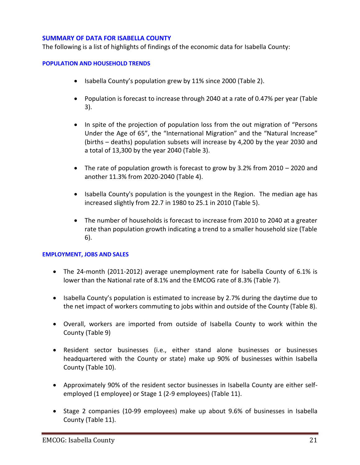### **SUMMARY OF DATA FOR ISABELLA COUNTY**

The following is a list of highlights of findings of the economic data for Isabella County:

### **POPULATION AND HOUSEHOLD TRENDS**

- Isabella County's population grew by 11% since 2000 (Table 2).
- Population is forecast to increase through 2040 at a rate of 0.47% per year (Table 3).
- In spite of the projection of population loss from the out migration of "Persons Under the Age of 65", the "International Migration" and the "Natural Increase" (births – deaths) population subsets will increase by 4,200 by the year 2030 and a total of 13,300 by the year 2040 (Table 3).
- The rate of population growth is forecast to grow by 3.2% from 2010 2020 and another 11.3% from 2020-2040 (Table 4).
- Isabella County's population is the youngest in the Region. The median age has increased slightly from 22.7 in 1980 to 25.1 in 2010 (Table 5).
- The number of households is forecast to increase from 2010 to 2040 at a greater rate than population growth indicating a trend to a smaller household size (Table 6).

### **EMPLOYMENT, JOBS AND SALES**

- The 24-month (2011-2012) average unemployment rate for Isabella County of 6.1% is lower than the National rate of 8.1% and the EMCOG rate of 8.3% (Table 7).
- Isabella County's population is estimated to increase by 2.7% during the daytime due to the net impact of workers commuting to jobs within and outside of the County (Table 8).
- Overall, workers are imported from outside of Isabella County to work within the County (Table 9)
- Resident sector businesses (i.e., either stand alone businesses or businesses headquartered with the County or state) make up 90% of businesses within Isabella County (Table 10).
- Approximately 90% of the resident sector businesses in Isabella County are either selfemployed (1 employee) or Stage 1 (2-9 employees) (Table 11).
- Stage 2 companies (10-99 employees) make up about 9.6% of businesses in Isabella County (Table 11).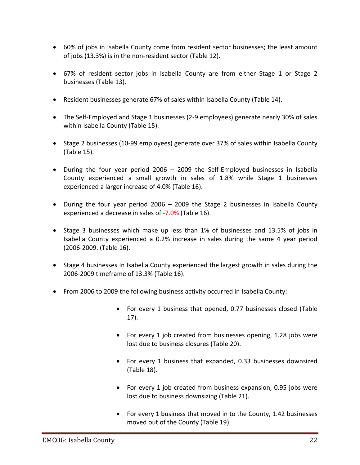- 60% of jobs in Isabella County come from resident sector businesses; the least amount of jobs (13.3%) is in the non-resident sector (Table 12).
- 67% of resident sector jobs in Isabella County are from either Stage 1 or Stage 2 businesses (Table 13).
- Resident businesses generate 67% of sales within Isabella County (Table 14).
- The Self-Employed and Stage 1 businesses (2-9 employees) generate nearly 30% of sales within Isabella County (Table 15).
- Stage 2 businesses (10-99 employees) generate over 37% of sales within Isabella County (Table 15).
- During the four year period 2006 2009 the Self-Employed businesses in Isabella County experienced a small growth in sales of 1.8% while Stage 1 businesses experienced a larger increase of 4.0% (Table 16).
- During the four year period 2006 2009 the Stage 2 businesses in Isabella County experienced a decrease in sales of -7.0% (Table 16).
- Stage 3 businesses which make up less than 1% of businesses and 13.5% of jobs in Isabella County experienced a 0.2% increase in sales during the same 4 year period (2006-2009. (Table 16).
- Stage 4 businesses In Isabella County experienced the largest growth in sales during the 2006-2009 timeframe of 13.3% (Table 16).
- From 2006 to 2009 the following business activity occurred in Isabella County:
	- For every 1 business that opened, 0.77 businesses closed (Table 17).
	- For every 1 job created from businesses opening, 1.28 jobs were lost due to business closures (Table 20).
	- For every 1 business that expanded, 0.33 businesses downsized (Table 18).
	- For every 1 job created from business expansion, 0.95 jobs were lost due to business downsizing (Table 21).
	- For every 1 business that moved in to the County, 1.42 businesses moved out of the County (Table 19).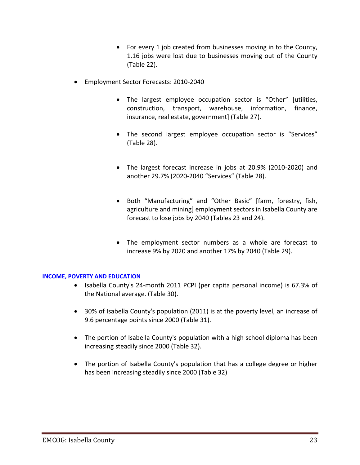- For every 1 job created from businesses moving in to the County, 1.16 jobs were lost due to businesses moving out of the County (Table 22).
- Employment Sector Forecasts: 2010-2040
	- The largest employee occupation sector is "Other" [utilities, construction, transport, warehouse, information, finance, insurance, real estate, government] (Table 27).
	- The second largest employee occupation sector is "Services" (Table 28).
	- The largest forecast increase in jobs at 20.9% (2010-2020) and another 29.7% (2020-2040 "Services" (Table 28).
	- Both "Manufacturing" and "Other Basic" [farm, forestry, fish, agriculture and mining] employment sectors in Isabella County are forecast to lose jobs by 2040 (Tables 23 and 24).
	- The employment sector numbers as a whole are forecast to increase 9% by 2020 and another 17% by 2040 (Table 29).

### **INCOME, POVERTY AND EDUCATION**

- Isabella County's 24-month 2011 PCPI (per capita personal income) is 67.3% of the National average. (Table 30).
- 30% of Isabella County's population (2011) is at the poverty level, an increase of 9.6 percentage points since 2000 (Table 31).
- The portion of Isabella County's population with a high school diploma has been increasing steadily since 2000 (Table 32).
- The portion of Isabella County's population that has a college degree or higher has been increasing steadily since 2000 (Table 32)